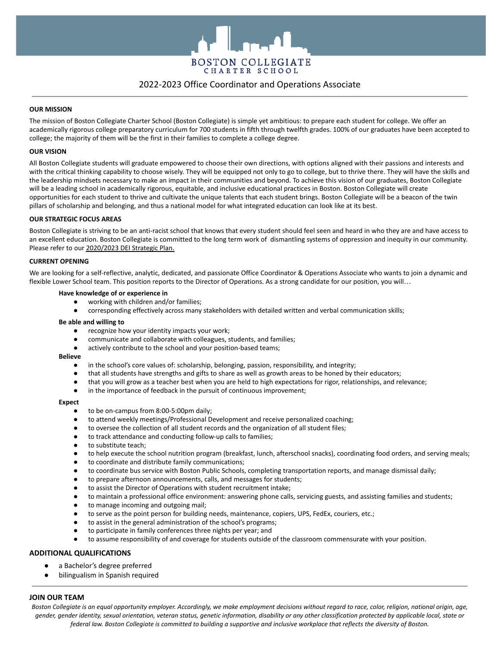

# 2022-2023 Office Coordinator and Operations Associate

# **OUR MISSION**

The mission of Boston Collegiate Charter School (Boston Collegiate) is simple yet ambitious: to prepare each student for college. We offer an academically rigorous college preparatory curriculum for 700 students in fifth through twelfth grades. 100% of our graduates have been accepted to college; the majority of them will be the first in their families to complete a college degree.

### **OUR VISION**

All Boston Collegiate students will graduate empowered to choose their own directions, with options aligned with their passions and interests and with the critical thinking capability to choose wisely. They will be equipped not only to go to college, but to thrive there. They will have the skills and the leadership mindsets necessary to make an impact in their communities and beyond. To achieve this vision of our graduates, Boston Collegiate will be a leading school in academically rigorous, equitable, and inclusive educational practices in Boston. Boston Collegiate will create opportunities for each student to thrive and cultivate the unique talents that each student brings. Boston Collegiate will be a beacon of the twin pillars of scholarship and belonging, and thus a national model for what integrated education can look like at its best.

### **OUR STRATEGIC FOCUS AREAS**

Boston Collegiate is striving to be an anti-racist school that knows that every student should feel seen and heard in who they are and have access to an excellent education. Boston Collegiate is committed to the long term work of dismantling systems of oppression and inequity in our community. Please refer to our [2020/2023 DEI Strategic Plan.](http://www.bostoncollegiate.org/wp-content/uploads/Strategic-Plan-February-2020_External-1.pdf)

### **CURRENT OPENING**

We are looking for a self-reflective, analytic, dedicated, and passionate Office Coordinator & Operations Associate who wants to join a dynamic and flexible Lower School team. This position reports to the Director of Operations. As a strong candidate for our position, you will...

# **Have knowledge of or experience in**

- working with children and/or families;
- corresponding effectively across many stakeholders with detailed written and verbal communication skills;

#### **Be able and willing to**

- recognize how your identity impacts your work;
- communicate and collaborate with colleagues, students, and families;
- actively contribute to the school and your position-based teams;

### **Believe**

- in the school's core values of: scholarship, belonging, passion, responsibility, and integrity;
- that all students have strengths and gifts to share as well as growth areas to be honed by their educators;
- that you will grow as a teacher best when you are held to high expectations for rigor, relationships, and relevance;
- in the importance of feedback in the pursuit of continuous improvement;

#### **Expect**

- to be on-campus from 8:00-5:00pm daily;
- to attend weekly meetings/Professional Development and receive personalized coaching;
- to oversee the collection of all student records and the organization of all student files;
- to track attendance and conducting follow-up calls to families;
- to substitute teach;
- to help execute the school nutrition program (breakfast, lunch, afterschool snacks), coordinating food orders, and serving meals;
- to coordinate and distribute family communications;
- to coordinate bus service with Boston Public Schools, completing transportation reports, and manage dismissal daily;
- to prepare afternoon announcements, calls, and messages for students;
- to assist the Director of Operations with student recruitment intake;
- to maintain a professional office environment: answering phone calls, servicing guests, and assisting families and students;
- to manage incoming and outgoing mail;
- to serve as the point person for building needs, maintenance, copiers, UPS, FedEx, couriers, etc.;
- to assist in the general administration of the school's programs;
- to participate in family conferences three nights per year; and
- to assume responsibility of and coverage for students outside of the classroom commensurate with your position.

# **ADDITIONAL QUALIFICATIONS**

- a Bachelor's degree preferred
- bilingualism in Spanish required

## **JOIN OUR TEAM**

Boston Collegiate is an equal opportunity employer. Accordingly, we make employment decisions without regard to race, color, religion, national origin, age, gender, gender identity, sexual orientation, veteran status, genetic information, disability or any other classification protected by applicable local, state or federal law. Boston Collegiate is committed to building a supportive and inclusive workplace that reflects the diversity of Boston.